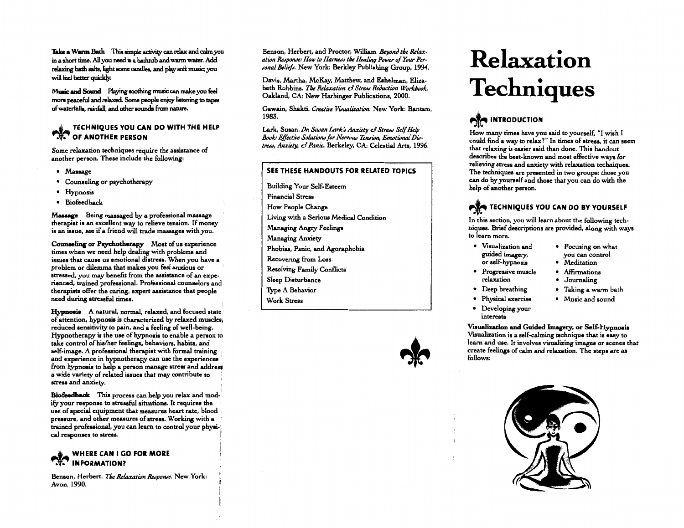Take a Warm Bath This simple activity can relax and calm you in a short time. All you need is a bathtub and warm water. Add relaxing bath salts, light some candles, and play soft music; you will feel better quickly.

Music and Sound Playing soothing music can make you feel more peaceful and relaxed. Some people enjoy listening to tapes of waterfalls, rainfall, and other sounds from nature.

### YOU CAN DO WITH THE HELP OF ANOTHER PERSON

Some relaxation techniques require the assiatance of another person. These include the following:

- Massage
- Counseling or psychotherapy
- Hypnosis
- Biofeedback

Massage Being massaged by a professional massage therapist is an excellent way to relieve tenaion. If money is an issue, see if a friend will trade massages with you.

Counseling or Psychotherapy Most of us experience times when we need help dealing with problems and issues that cause us emotional distresa. When you have a problem or dilemma that makes you feel anxious or stressed, you may benefit from the assistance of an experienced, trained professional. Professional counselors and therapists offer the caring, expert assistance that people need during stressful times.

A natural, normal, relaxed, and focused state, of attention, hypnosis is characterized by relaxed muscles; reduced sensitivity to pain, and a feeling of well-being. Hypnotherapy is the use of hypnosis to enable a person to take control of his/her feelings, behaviors, habits, and self-image. A professional therapist with formal training and experience in hypnotherapy can use the experiences from hypnosis to help a person manage stress and address a wide variety of related issues that may contribute to ' stresa and anxiety.

Biofeedback This process can help you relax and mod-<br>Ify your response to stressful situations. It requires the use of special equipment that measures heart rate, blood pressure, and other measures of atress. Working with a i .<br>trained professional, you can learn to control your physi-:<br>cal responses to stress.

### $\triangle$  WHERE CAN I GO FOR MORE INFORMATION?

Benson, Herbert. The Relaxation Response. New York: Avon, 1990.

Benson, Herbert, and Proctor, William. *Bevond the Relax*ation Response: How to Harness the Healing Power of Your Per-Jonal Beliefs. New York: Berkley Publishing Group, 1994.

Davis, Martha, McKay, Matthew, and Eehelman, Elizabeth Robbins. *The Relaxation & Stress Reduction Workbook*. Oakland, *CA:* New Harbinger Publications, 2000.

Gawain, Shakti. *Creative Visualization*. New York: Bantam, 1983.

Lark, Susan. *Dr. Susan Lark's Anxiety & Stress Self Help* Book: Effective Solutions for Nervous Tension, Emotional Dis*tress, Anxiety, & Panic. Berkeley, CA: Celestial Arts, 1996.* 

#### SEE THESE HANDOUTS FOR RELATED TOPICS

Building Your Self-Esteem Financial Stress How People Change Living with a Serious Medical Condition Managing Angry Feelings Managing Anxiety Phobias, Panic, and Agoraphobia Recovering from Loss Resolving Family Conflicts Sleep Disturbance Type A Behavior Work Stress



# **Relaxation Techniques**

## **AND INTRODUCTION**

How many times have you said to yourself, "I wish I could find a way to relax?" In times of stress, it can seem that relaxing is easier said than done. This handout describes the best-known and most effective ways for relieving stress and anxiety with relaxation techniques. The techniques are presented in two groups: those you can do by yourself and those that you can do with the help of another person.

### **TECHNIQUES YOU CAN DO BY YOURSELF**

In this section, you will learn about the following techniques. Brief descriptions are provided, along with ways to learn more.

- Visualization and Focusing on what or self-hypnosis • Meditation
- Progressive muscle Affirmations relaxation • Journaling
- 
- 
- Developing your intereats

Visualization and Guided Imagery, or Self-Hypnosis Visualization is a self-calming technique that is easy to learn and uae. It involves visualizing images or scenes that create feelings of calm and relaxation. The steps are as follows:



- guided imagery, you can control
	-
	-
- Deep breathing Taking a warm bath
- Physical exercise Music and sound